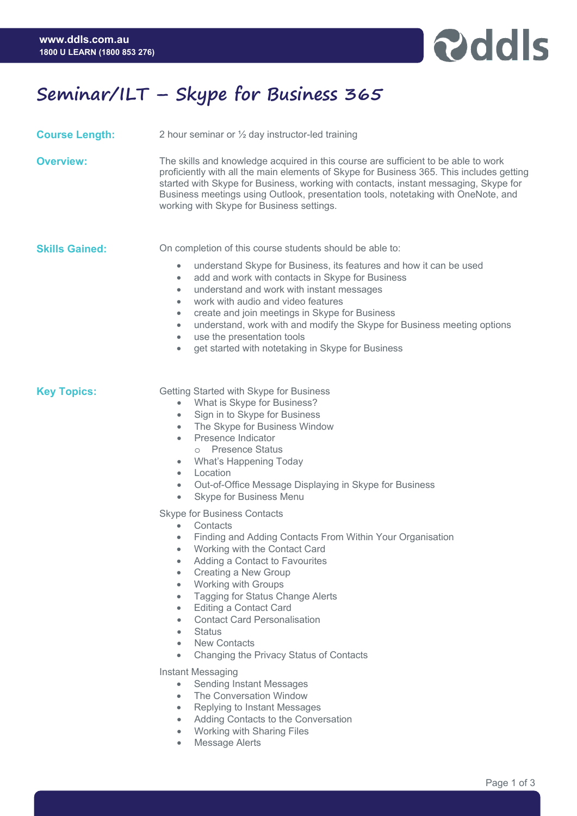

## **Seminar/ILT – Skype for Business 365**

| <b>Course Length:</b> | 2 hour seminar or $\frac{1}{2}$ day instructor-led training                                                                                                                                                                                                                                                                                                                                                                                                                                                                                                                                   |
|-----------------------|-----------------------------------------------------------------------------------------------------------------------------------------------------------------------------------------------------------------------------------------------------------------------------------------------------------------------------------------------------------------------------------------------------------------------------------------------------------------------------------------------------------------------------------------------------------------------------------------------|
| <b>Overview:</b>      | The skills and knowledge acquired in this course are sufficient to be able to work<br>proficiently with all the main elements of Skype for Business 365. This includes getting<br>started with Skype for Business, working with contacts, instant messaging, Skype for<br>Business meetings using Outlook, presentation tools, notetaking with OneNote, and<br>working with Skype for Business settings.                                                                                                                                                                                      |
| <b>Skills Gained:</b> | On completion of this course students should be able to:<br>understand Skype for Business, its features and how it can be used<br>$\bullet$<br>add and work with contacts in Skype for Business<br>$\bullet$<br>understand and work with instant messages<br>$\bullet$<br>work with audio and video features<br>$\bullet$<br>create and join meetings in Skype for Business<br>$\bullet$<br>understand, work with and modify the Skype for Business meeting options<br>$\bullet$<br>use the presentation tools<br>$\bullet$<br>get started with notetaking in Skype for Business<br>$\bullet$ |
| <b>Key Topics:</b>    | Getting Started with Skype for Business<br>What is Skype for Business?<br>$\bullet$<br>Sign in to Skype for Business<br>$\bullet$<br>The Skype for Business Window<br>$\bullet$<br>Presence Indicator<br>$\bullet$<br>o Presence Status<br><b>What's Happening Today</b><br>$\bullet$<br>Location<br>$\bullet$<br>Out-of-Office Message Displaying in Skype for Business<br>$\bullet$<br>Skype for Business Menu<br>$\bullet$                                                                                                                                                                 |
|                       | <b>Skype for Business Contacts</b><br>Contacts<br>$\bullet$<br>Finding and Adding Contacts From Within Your Organisation<br>$\bullet$<br>Working with the Contact Card<br>$\bullet$<br>Adding a Contact to Favourites<br>$\bullet$<br>Creating a New Group<br>$\bullet$<br><b>Working with Groups</b><br>$\bullet$<br>Tagging for Status Change Alerts<br>$\bullet$<br><b>Editing a Contact Card</b><br>$\bullet$<br><b>Contact Card Personalisation</b><br>$\bullet$<br><b>Status</b><br>٠<br><b>New Contacts</b><br>٠<br>Changing the Privacy Status of Contacts<br>$\bullet$               |
|                       | Instant Messaging<br><b>Sending Instant Messages</b><br>$\bullet$<br>The Conversation Window<br>$\bullet$<br>Replying to Instant Messages<br>$\bullet$<br>Adding Contacts to the Conversation<br>$\bullet$                                                                                                                                                                                                                                                                                                                                                                                    |

- Working with Sharing Files
- Message Alerts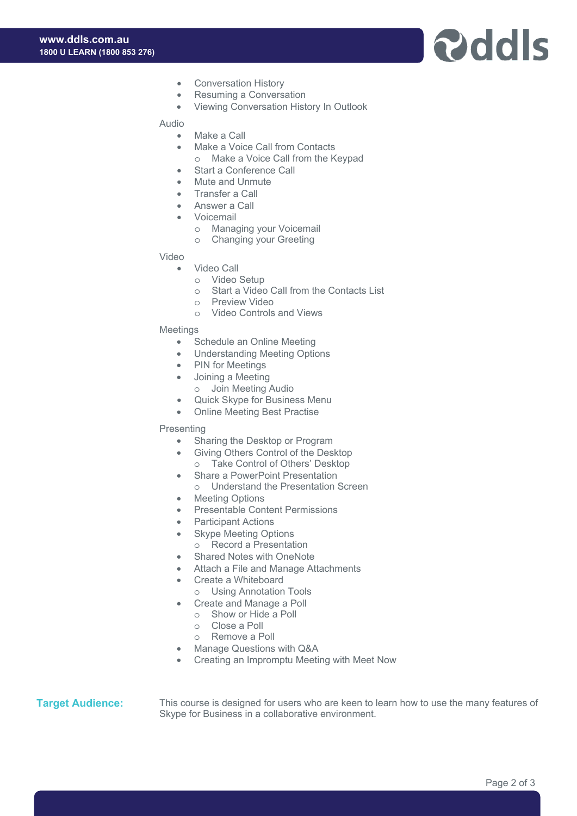#### **www.ddls.com.au 1800 U LEARN (1800 853 276)**

# **P**ddls

- Conversation History
- Resuming a Conversation
- Viewing Conversation History In Outlook

## Audio

- Make a Call
- Make a Voice Call from Contacts
	- o Make a Voice Call from the Keypad
- Start a Conference Call
- Mute and Unmute
- Transfer a Call
- Answer a Call
- **Voicemail** 
	- o Managing your Voicemail
	- o Changing your Greeting

## Video

- Video Call
	- o Video Setup
	- o Start a Video Call from the Contacts List
	- o Preview Video
	- o Video Controls and Views

## Meetings

- Schedule an Online Meeting
- Understanding Meeting Options
- PIN for Meetings
- Joining a Meeting
- o Join Meeting Audio
- Quick Skype for Business Menu
- Online Meeting Best Practise

#### Presenting

- Sharing the Desktop or Program
- Giving Others Control of the Desktop
	- o Take Control of Others' Desktop
- Share a PowerPoint Presentation
- o Understand the Presentation Screen
- Meeting Options
- Presentable Content Permissions
- Participant Actions
- Skype Meeting Options
	- o Record a Presentation
- Shared Notes with OneNote
- Attach a File and Manage Attachments
- Create a Whiteboard
- o Using Annotation Tools
- Create and Manage a Poll
	- o Show or Hide a Poll
	- o Close a Poll
	- o Remove a Poll
- Manage Questions with Q&A
- Creating an Impromptu Meeting with Meet Now

**Target Audience:** This course is designed for users who are keen to learn how to use the many features of Skype for Business in a collaborative environment.